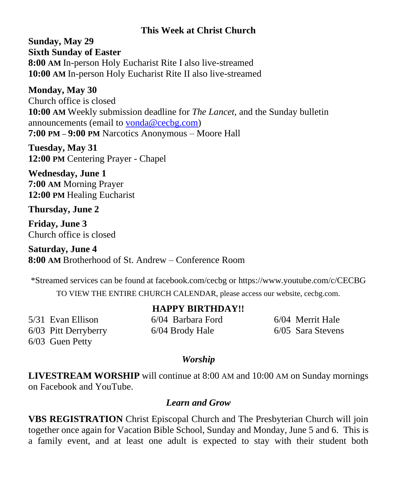# **This Week at Christ Church**

**Sunday, May 29 Sixth Sunday of Easter 8:00 AM** In-person Holy Eucharist Rite I also live-streamed **10:00 AM** In-person Holy Eucharist Rite II also live-streamed

## **Monday, May 30**

Church office is closed **10:00 AM** Weekly submission deadline for *The Lancet,* and the Sunday bulletin announcements (email to [vonda@cecbg.com\)](mailto:vonda@cecbg.com) **7:00 PM – 9:00 PM** Narcotics Anonymous – Moore Hall

**Tuesday, May 31 12:00 PM** Centering Prayer - Chapel

**Wednesday, June 1 7:00 AM** Morning Prayer **12:00 PM** Healing Eucharist

### **Thursday, June 2**

**Friday, June 3** Church office is closed

**Saturday, June 4 8:00 AM** Brotherhood of St. Andrew – Conference Room

\*Streamed services can be found at facebook.com/cecbg or https://www.youtube.com/c/CECBG

TO VIEW THE ENTIRE CHURCH CALENDAR, please access our website, cecbg.com.

| 5/31 Evan Ellison    |
|----------------------|
| 6/03 Pitt Derryberry |
| 6/03 Guen Petty      |

**HAPPY BIRTHDAY!!**

6/04 Barbara Ford 6/04 Brody Hale

6/04 Merrit Hale 6/05 Sara Stevens

### *Worship*

**LIVESTREAM WORSHIP** will continue at 8:00 AM and 10:00 AM on Sunday mornings on Facebook and YouTube.

### *Learn and Grow*

**VBS REGISTRATION** Christ Episcopal Church and The Presbyterian Church will join together once again for Vacation Bible School, Sunday and Monday, June 5 and 6. This is a family event, and at least one adult is expected to stay with their student both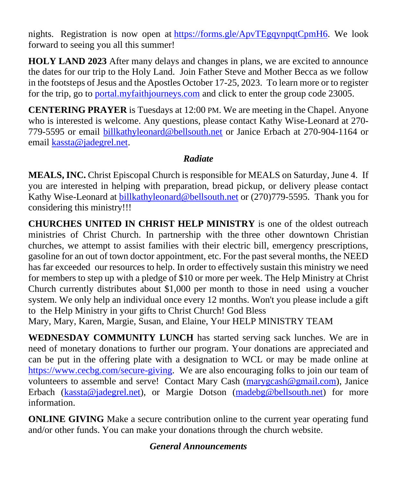nights. Registration is now open at [https://forms.gle/ApvTEgqynpqtCpmH6.](https://forms.gle/ApvTEgqynpqtCpmH6) We look forward to seeing you all this summer!

**HOLY LAND 2023** After many delays and changes in plans, we are excited to announce the dates for our trip to the Holy Land. Join Father Steve and Mother Becca as we follow in the footsteps of Jesus and the Apostles October 17-25, 2023. To learn more or to register for the trip, go to [portal.myfaithjourneys.com](http://portal.myfaithjourneys.com/) and click to enter the group code 23005.

**CENTERING PRAYER** is Tuesdays at 12:00 PM. We are meeting in the Chapel. Anyone who is interested is welcome. Any questions, please contact Kathy Wise-Leonard at 270- 779-5595 or email [billkathyleonard@bellsouth.net](mailto:billkathyleonard@bellsouth.net) or Janice Erbach at 270-904-1164 or email [kassta@jadegrel.net.](mailto:kassta@jadegrel.net)

# *Radiate*

**MEALS, INC.** Christ Episcopal Church is responsible for MEALS on Saturday, June 4. If you are interested in helping with preparation, bread pickup, or delivery please contact Kathy Wise-Leonard at [billkathyleonard@bellsouth.net](mailto:billkathyleonard@bellsouth.net) or (270)779-5595. Thank you for considering this ministry!!!

**CHURCHES UNITED IN CHRIST HELP MINISTRY** is one of the oldest outreach ministries of Christ Church. In partnership with the three other downtown Christian churches, we attempt to assist families with their electric bill, emergency prescriptions, gasoline for an out of town doctor appointment, etc. For the past several months, the NEED has far exceeded our resources to help. In order to effectively sustain this ministry we need for members to step up with a pledge of \$10 or more per week. The Help Ministry at Christ Church currently distributes about \$1,000 per month to those in need using a voucher system. We only help an individual once every 12 months. Won't you please include a gift to the Help Ministry in your gifts to Christ Church! God Bless

Mary, Mary, Karen, Margie, Susan, and Elaine, Your HELP MINISTRY TEAM

**WEDNESDAY COMMUNITY LUNCH** has started serving sack lunches. We are in need of monetary donations to further our program. Your donations are appreciated and can be put in the offering plate with a designation to WCL or may be made online at [https://www.cecbg.com/secure-giving.](https://www.cecbg.com/secure-giving) We are also encouraging folks to join our team of volunteers to assemble and serve! Contact Mary Cash [\(marygcash@gmail.com\)](mailto:marygcash@gmail.com), Janice Erbach [\(kassta@jadegrel.net\)](mailto:kassta@jadegrel.net), or Margie Dotson [\(madebg@bellsouth.net\)](mailto:madebg@bellsouth.net) for more information.

**ONLINE GIVING** Make a secure contribution online to the current year operating fund and/or other funds. You can make your donations through the church website.

# *General Announcements*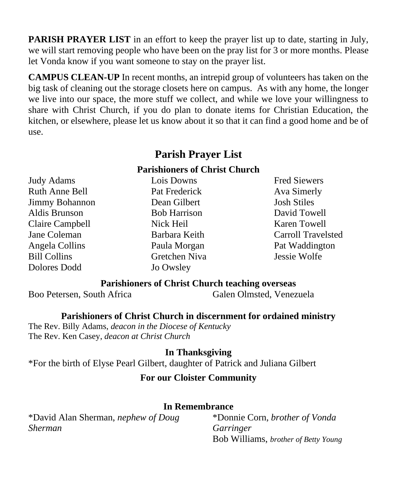**PARISH PRAYER LIST** in an effort to keep the prayer list up to date, starting in July, we will start removing people who have been on the pray list for 3 or more months. Please let Vonda know if you want someone to stay on the prayer list.

**CAMPUS CLEAN-UP** In recent months, an intrepid group of volunteers has taken on the big task of cleaning out the storage closets here on campus. As with any home, the longer we live into our space, the more stuff we collect, and while we love your willingness to share with Christ Church, if you do plan to donate items for Christian Education, the kitchen, or elsewhere, please let us know about it so that it can find a good home and be of use.

# **Parish Prayer List**

#### **Parishioners of Christ Church**

Judy Adams Ruth Anne Bell Jimmy Bohannon Aldis Brunson Claire Campbell Jane Coleman Angela Collins Bill Collins Dolores Dodd

Lois Downs Pat Frederick Dean Gilbert Bob Harrison Nick Heil Barbara Keith Paula Morgan Gretchen Niva Jo Owsley

Fred Siewers Ava Simerly Josh Stiles David Towell Karen Towell Carroll Travelsted Pat Waddington Jessie Wolfe

### **Parishioners of Christ Church teaching overseas**

Boo Petersen, South Africa Galen Olmsted, Venezuela

**Parishioners of Christ Church in discernment for ordained ministry**

The Rev. Billy Adams, *deacon in the Diocese of Kentucky* The Rev. Ken Casey, *deacon at Christ Church*

**In Thanksgiving**

\*For the birth of Elyse Pearl Gilbert, daughter of Patrick and Juliana Gilbert

### **For our Cloister Community**

#### **In Remembrance**

\*David Alan Sherman, *nephew of Doug Sherman*

\*Donnie Corn, *brother of Vonda Garringer* Bob Williams, *brother of Betty Young*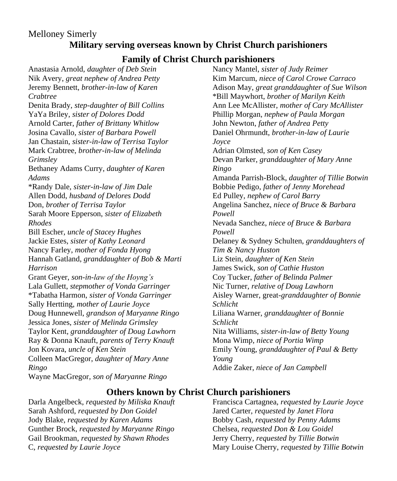### Melloney Simerly **Military serving overseas known by Christ Church parishioners**

### **Family of Christ Church parishioners**

Anastasia Arnold, *daughter of Deb Stein* Nik Avery, *great nephew of Andrea Petty* Jeremy Bennett, *brother-in-law of Karen Crabtree* Denita Brady, *step-daughter of Bill Collins* YaYa Briley, *sister of Dolores Dodd* Arnold Carter, *father of Brittany Whitlow* Josina Cavallo, *sister of Barbara Powell* Jan Chastain, *sister-in-law of Terrisa Taylor* Mark Crabtree, *brother-in-law of Melinda Grimsley* Bethaney Adams Curry, *daughter of Karen Adams* \*Randy Dale, *sister-in-law of Jim Dale* Allen Dodd, *husband of Delores Dodd* Don, *brother of Terrisa Taylor* Sarah Moore Epperson, *sister of Elizabeth Rhodes* Bill Escher, *uncle of Stacey Hughes* Jackie Estes, *sister of Kathy Leonard* Nancy Farley, *mother of Fonda Hyong*  Hannah Gatland, *granddaughter of Bob & Marti Harrison* Grant Geyer, *son-in-law of the Hoyng's* Lala Gullett, *stepmother of Vonda Garringer* \*Tabatha Harmon, *sister of Vonda Garringer* Sally Hertting, *mother of Laurie Joyce* Doug Hunnewell, *grandson of Maryanne Ringo* Jessica Jones, *sister of Melinda Grimsley* Taylor Kent*, granddaughter of Doug Lawhorn* Ray & Donna Knauft, *parents of Terry Knauft* Jon Kovara, *uncle of Ken Stein* Colleen MacGregor, *daughter of Mary Anne Ringo* Wayne MacGregor*, son of Maryanne Ringo*

Nancy Mantel, *sister of Judy Reimer* Kim Marcum, *niece of Carol Crowe Carraco* Adison May, *great granddaughter of Sue Wilson* \*Bill Maywhort, *brother of Marilyn Keith* Ann Lee McAllister, *mother of Cary McAllister* Phillip Morgan, *nephew of Paula Morgan* John Newton, *father of Andrea Petty* Daniel Ohrmundt, *brother-in-law of Laurie Joyce* Adrian Olmsted, *son of Ken Casey* Devan Parker, *granddaughter of Mary Anne Ringo* Amanda Parrish-Block, *daughter of Tillie Botwin* Bobbie Pedigo, *father of Jenny Morehead* Ed Pulley, *nephew of Carol Barry* Angelina Sanchez, *niece of Bruce & Barbara Powell* Nevada Sanchez, *niece of Bruce & Barbara Powell* Delaney & Sydney Schulten, *granddaughters of Tim & Nancy Huston* Liz Stein, *daughter of Ken Stein* James Swick, *son of Cathie Huston* Coy Tucker, *father of Belinda Palmer* Nic Turner, *relative of Doug Lawhorn* Aisley Warner, great-*granddaughter of Bonnie Schlicht* Liliana Warner, *granddaughter of Bonnie Schlicht* Nita Williams, *sister-in-law of Betty Young* Mona Wimp, *niece of Portia Wimp* Emily Young, *granddaughter of Paul & Betty Young* Addie Zaker, *niece of Jan Campbell*

### **Others known by Christ Church parishioners**

Darla Angelbeck, *requested by Miliska Knauft* Sarah Ashford, *requested by Don Goidel* Jody Blake, *requested by Karen Adams* Gunther Brock, *requested by Maryanne Ringo* Gail Brookman, *requested by Shawn Rhodes* C, *requested by Laurie Joyce*

Francisca Cartagnea, *requested by Laurie Joyce* Jared Carter, *requested by Janet Flora* Bobby Cash, *requested by Penny Adams* Chelsea, *requested Don & Lou Goidel* Jerry Cherry, *requested by Tillie Botwin* Mary Louise Cherry, *requested by Tillie Botwin*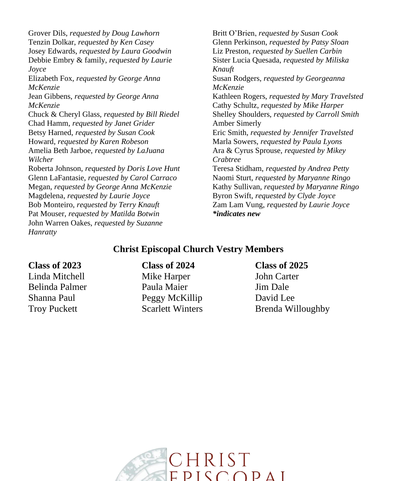Grover Dils, *requested by Doug Lawhorn* Tenzin Dolkar, *requested by Ken Casey* Josey Edwards, *requested by Laura Goodwin* Debbie Embry & family, *requested by Laurie Joyce* Elizabeth Fox, *requested by George Anna McKenzie* Jean Gibbens, *requested by George Anna McKenzie* Chuck & Cheryl Glass, *requested by Bill Riedel* Chad Hamm, *requested by Janet Grider* Betsy Harned, *requested by Susan Cook* Howard, *requested by Karen Robeson* Amelia Beth Jarboe, *requested by LaJuana Wilcher* Roberta Johnson, *requested by Doris Love Hunt* Glenn LaFantasie, *requested by Carol Carraco* Megan, *requested by George Anna McKenzie* Magdelena*, requested by Laurie Joyce* Bob Monteiro, *requested by Terry Knauft* Pat Mouser, *requested by Matilda Botwin* John Warren Oakes, *requested by Suzanne Hanratty*

Britt O'Brien, *requested by Susan Cook* Glenn Perkinson, *requested by Patsy Sloan* Liz Preston, *requested by Suellen Carbin* Sister Lucia Quesada, *requested by Miliska Knauft* Susan Rodgers, *requested by Georgeanna McKenzie* Kathleen Rogers, *requested by Mary Travelsted* Cathy Schultz, *requested by Mike Harper* Shelley Shoulders, *requested by Carroll Smith* Amber Simerly Eric Smith, *requested by Jennifer Travelsted* Marla Sowers, *requested by Paula Lyons* Ara & Cyrus Sprouse, *requested by Mikey Crabtree* Teresa Stidham, *requested by Andrea Petty* Naomi Sturt, *requested by Maryanne Ringo* Kathy Sullivan, *requested by Maryanne Ringo* Byron Swift, *requested by Clyde Joyce* Zam Lam Vung, *requested by Laurie Joyce \*indicates new*

#### **Christ Episcopal Church Vestry Members**

#### **Class of 2023 Class of 2024 Class of 2025**

Linda Mitchell Mike Harper John Carter Belinda Palmer Paula Maier Jim Dale Shanna Paul Peggy McKillip David Lee

Troy Puckett Scarlett Winters Brenda Willoughby